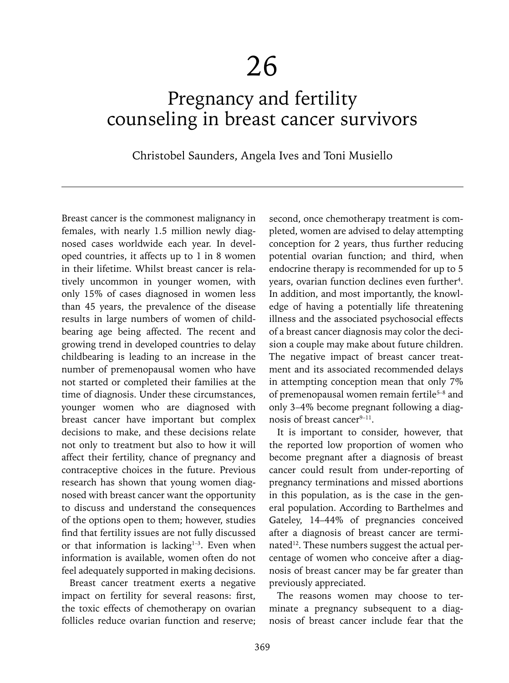# Pregnancy and fertility counseling in breast cancer survivors

# Christobel Saunders, Angela Ives and Toni Musiello

Breast cancer is the commonest malignancy in females, with nearly 1.5 million newly diagnosed cases worldwide each year. In developed countries, it affects up to 1 in 8 women in their lifetime. Whilst breast cancer is relatively uncommon in younger women, with only 15% of cases diagnosed in women less than 45 years, the prevalence of the disease results in large numbers of women of childbearing age being affected. The recent and growing trend in developed countries to delay childbearing is leading to an increase in the number of premenopausal women who have not started or completed their families at the time of diagnosis. Under these circumstances, younger women who are diagnosed with breast cancer have important but complex decisions to make, and these decisions relate not only to treatment but also to how it will affect their fertility, chance of pregnancy and contraceptive choices in the future. Previous research has shown that young women diagnosed with breast cancer want the opportunity to discuss and understand the consequences of the options open to them; however, studies find that fertility issues are not fully discussed or that information is lacking $1-3$ . Even when information is available, women often do not feel adequately supported in making decisions.

Breast cancer treatment exerts a negative impact on fertility for several reasons: first, the toxic effects of chemotherapy on ovarian follicles reduce ovarian function and reserve; second, once chemotherapy treatment is completed, women are advised to delay attempting conception for 2 years, thus further reducing potential ovarian function; and third, when endocrine therapy is recommended for up to 5 years, ovarian function declines even further<sup>4</sup>. In addition, and most importantly, the knowledge of having a potentially life threatening illness and the associated psychosocial effects of a breast cancer diagnosis may color the decision a couple may make about future children. The negative impact of breast cancer treatment and its associated recommended delays in attempting conception mean that only 7% of premenopausal women remain fertile<sup>5-8</sup> and only 3–4% become pregnant following a diagnosis of breast cancer $9-11$ .

It is important to consider, however, that the reported low proportion of women who become pregnant after a diagnosis of breast cancer could result from under-reporting of pregnancy terminations and missed abortions in this population, as is the case in the general population. According to Barthelmes and Gateley, 14–44% of pregnancies conceived after a diagnosis of breast cancer are terminated<sup>12</sup>. These numbers suggest the actual percentage of women who conceive after a diagnosis of breast cancer may be far greater than previously appreciated.

The reasons women may choose to terminate a pregnancy subsequent to a diagnosis of breast cancer include fear that the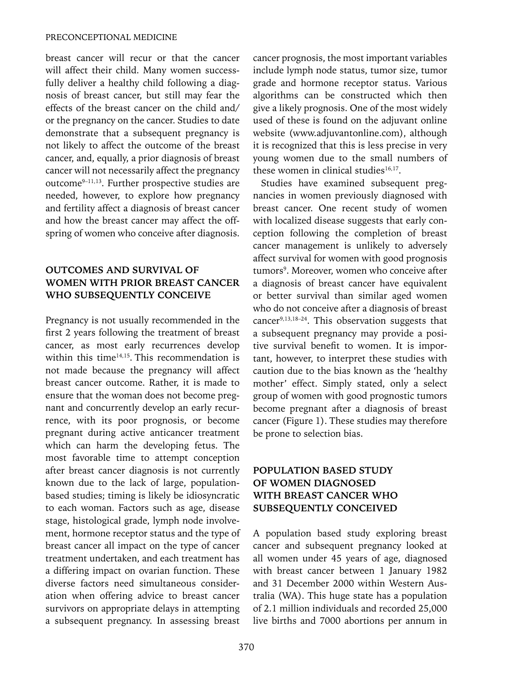breast cancer will recur or that the cancer will affect their child. Many women successfully deliver a healthy child following a diagnosis of breast cancer, but still may fear the effects of the breast cancer on the child and/ or the pregnancy on the cancer. Studies to date demonstrate that a subsequent pregnancy is not likely to affect the outcome of the breast cancer, and, equally, a prior diagnosis of breast cancer will not necessarily affect the pregnancy outcome9–11,13. Further prospective studies are needed, however, to explore how pregnancy and fertility affect a diagnosis of breast cancer and how the breast cancer may affect the offspring of women who conceive after diagnosis.

#### **OUTCOMES AND SURVIVAL OF WOMEN WITH PRIOR BREAST CANCER WHO SUBSEQUENTLY CONCEIVE**

Pregnancy is not usually recommended in the first 2 years following the treatment of breast cancer, as most early recurrences develop within this time $14,15$ . This recommendation is not made because the pregnancy will affect breast cancer outcome. Rather, it is made to ensure that the woman does not become pregnant and concurrently develop an early recurrence, with its poor prognosis, or become pregnant during active anticancer treatment which can harm the developing fetus. The most favorable time to attempt conception after breast cancer diagnosis is not currently known due to the lack of large, populationbased studies; timing is likely be idiosyncratic to each woman. Factors such as age, disease stage, histological grade, lymph node involvement, hormone receptor status and the type of breast cancer all impact on the type of cancer treatment undertaken, and each treatment has a differing impact on ovarian function. These diverse factors need simultaneous consideration when offering advice to breast cancer survivors on appropriate delays in attempting a subsequent pregnancy. In assessing breast

cancer prognosis, the most important variables include lymph node status, tumor size, tumor grade and hormone receptor status. Various algorithms can be constructed which then give a likely prognosis. One of the most widely used of these is found on the adjuvant online website (www.adjuvantonline.com), although it is recognized that this is less precise in very young women due to the small numbers of these women in clinical studies $16,17$ .

Studies have examined subsequent pregnancies in women previously diagnosed with breast cancer. One recent study of women with localized disease suggests that early conception following the completion of breast cancer management is unlikely to adversely affect survival for women with good prognosis tumors<sup>9</sup>. Moreover, women who conceive after a diagnosis of breast cancer have equivalent or better survival than similar aged women who do not conceive after a diagnosis of breast cancer9,13,18–24. This observation suggests that a subsequent pregnancy may provide a positive survival benefit to women. It is important, however, to interpret these studies with caution due to the bias known as the 'healthy mother' effect. Simply stated, only a select group of women with good prognostic tumors become pregnant after a diagnosis of breast cancer (Figure 1). These studies may therefore be prone to selection bias.

## **POPULATION BASED STUDY OF WOMEN DIAGNOSED WITH BREAST CANCER WHO SUBSEQUENTLY CONCEIVED**

A population based study exploring breast cancer and subsequent pregnancy looked at all women under 45 years of age, diagnosed with breast cancer between 1 January 1982 and 31 December 2000 within Western Australia (WA). This huge state has a population of 2.1 million individuals and recorded 25,000 live births and 7000 abortions per annum in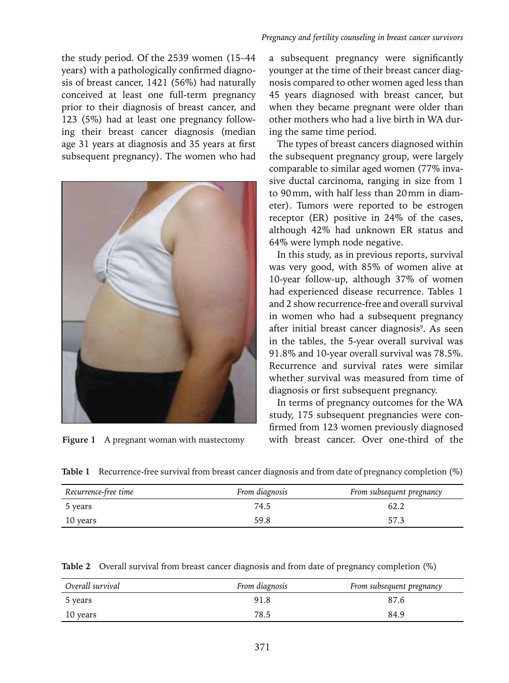the study period. Of the 2539 women (15–44 years) with a pathologically confirmed diagnosis of breast cancer, 1421 (56%) had naturally conceived at least one full-term pregnancy prior to their diagnosis of breast cancer, and 123 (5%) had at least one pregnancy following their breast cancer diagnosis (median age 31 years at diagnosis and 35 years at first subsequent pregnancy). The women who had



#### *Pregnancy and fertility counseling in breast cancer survivors*

a subsequent pregnancy were significantly younger at the time of their breast cancer diagnosis compared to other women aged less than 45 years diagnosed with breast cancer, but when they became pregnant were older than other mothers who had a live birth in WA during the same time period.

The types of breast cancers diagnosed within the subsequent pregnancy group, were largely comparable to similar aged women (77% invasive ductal carcinoma, ranging in size from 1 to 90mm, with half less than 20mm in diameter). Tumors were reported to be estrogen receptor (ER) positive in 24% of the cases, although 42% had unknown ER status and 64% were lymph node negative.

In this study, as in previous reports, survival was very good, with 85% of women alive at 10-year follow-up, although 37% of women had experienced disease recurrence. Tables 1 and 2 show recurrence-free and overall survival in women who had a subsequent pregnancy after initial breast cancer diagnosis<sup>9</sup>. As seen in the tables, the 5-year overall survival was 91.8% and 10-year overall survival was 78.5%. Recurrence and survival rates were similar whether survival was measured from time of diagnosis or first subsequent pregnancy.

In terms of pregnancy outcomes for the WA study, 175 subsequent pregnancies were confirmed from 123 women previously diagnosed **Figure 1** A pregnant woman with mastectomy with breast cancer. Over one-third of the

| Table 1 Recurrence-free survival from breast cancer diagnosis and from date of pregnancy completion (%) |  |  |
|---------------------------------------------------------------------------------------------------------|--|--|
|                                                                                                         |  |  |
|                                                                                                         |  |  |

| Recurrence-free time | From diagnosis | From subsequent pregnancy |
|----------------------|----------------|---------------------------|
| 5 years              | 74.5           | 62.2                      |
| 10 years             | 59.8           | 57.3                      |

**Table 2** Overall survival from breast cancer diagnosis and from date of pregnancy completion (%)

| Overall survival | From diagnosis | From subsequent pregnancy |
|------------------|----------------|---------------------------|
| 5 years          | 91.8           | 87.6                      |
| 10 years         | 78.5           | 84.9                      |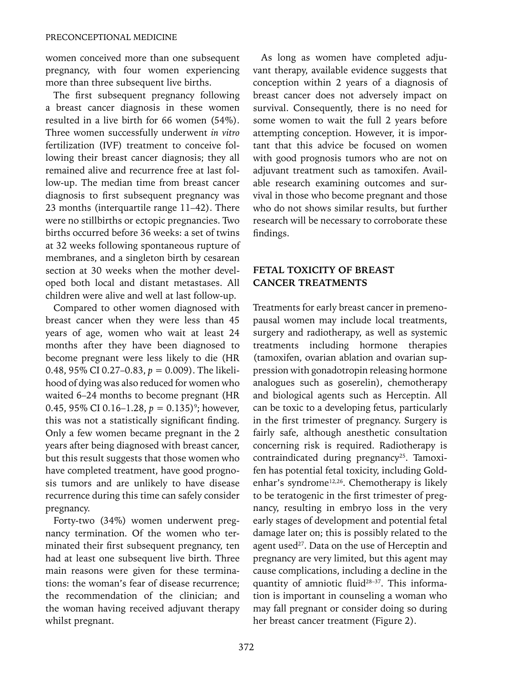women conceived more than one subsequent pregnancy, with four women experiencing more than three subsequent live births.

The first subsequent pregnancy following a breast cancer diagnosis in these women resulted in a live birth for 66 women (54%). Three women successfully underwent *in vitro* fertilization (IVF) treatment to conceive following their breast cancer diagnosis; they all remained alive and recurrence free at last follow-up. The median time from breast cancer diagnosis to first subsequent pregnancy was 23 months (interquartile range 11–42). There were no stillbirths or ectopic pregnancies. Two births occurred before 36 weeks: a set of twins at 32 weeks following spontaneous rupture of membranes, and a singleton birth by cesarean section at 30 weeks when the mother developed both local and distant metastases. All children were alive and well at last follow-up.

Compared to other women diagnosed with breast cancer when they were less than 45 years of age, women who wait at least 24 months after they have been diagnosed to become pregnant were less likely to die (HR 0.48, 95% CI 0.27–0.83, *p* = 0.009). The likelihood of dying was also reduced for women who waited 6–24 months to become pregnant (HR 0.45, 95% CI 0.16–1.28,  $p = 0.135$ <sup>9</sup>; however, this was not a statistically significant finding. Only a few women became pregnant in the 2 years after being diagnosed with breast cancer, but this result suggests that those women who have completed treatment, have good prognosis tumors and are unlikely to have disease recurrence during this time can safely consider pregnancy.

Forty-two (34%) women underwent pregnancy termination. Of the women who terminated their first subsequent pregnancy, ten had at least one subsequent live birth. Three main reasons were given for these terminations: the woman's fear of disease recurrence; the recommendation of the clinician; and the woman having received adjuvant therapy whilst pregnant.

As long as women have completed adjuvant therapy, available evidence suggests that conception within 2 years of a diagnosis of breast cancer does not adversely impact on survival. Consequently, there is no need for some women to wait the full 2 years before attempting conception. However, it is important that this advice be focused on women with good prognosis tumors who are not on adjuvant treatment such as tamoxifen. Available research examining outcomes and survival in those who become pregnant and those who do not shows similar results, but further research will be necessary to corroborate these findings.

#### **FETAL TOXICITY OF BREAST CANCER TREATMENTS**

Treatments for early breast cancer in premenopausal women may include local treatments, surgery and radiotherapy, as well as systemic treatments including hormone therapies (tamoxifen, ovarian ablation and ovarian suppression with gonadotropin releasing hormone analogues such as goserelin), chemotherapy and biological agents such as Herceptin. All can be toxic to a developing fetus, particularly in the first trimester of pregnancy. Surgery is fairly safe, although anesthetic consultation concerning risk is required. Radiotherapy is contraindicated during pregnancy<sup>25</sup>. Tamoxifen has potential fetal toxicity, including Goldenhar's syndrome<sup>12,26</sup>. Chemotherapy is likely to be teratogenic in the first trimester of pregnancy, resulting in embryo loss in the very early stages of development and potential fetal damage later on; this is possibly related to the agent used<sup>27</sup>. Data on the use of Herceptin and pregnancy are very limited, but this agent may cause complications, including a decline in the quantity of amniotic fluid28–37. This information is important in counseling a woman who may fall pregnant or consider doing so during her breast cancer treatment (Figure 2).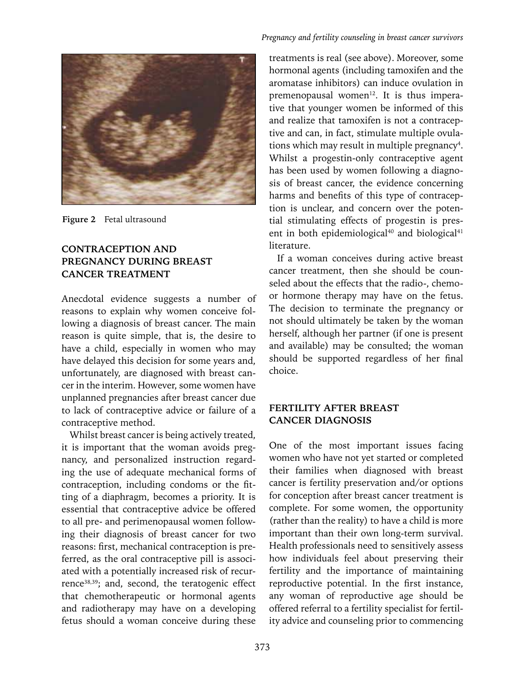

**Figure 2** Fetal ultrasound

#### **CONTRACEPTION AND PREGNANCY DURING BREAST CANCER TREATMENT**

Anecdotal evidence suggests a number of reasons to explain why women conceive following a diagnosis of breast cancer. The main reason is quite simple, that is, the desire to have a child, especially in women who may have delayed this decision for some years and, unfortunately, are diagnosed with breast cancer in the interim. However, some women have unplanned pregnancies after breast cancer due to lack of contraceptive advice or failure of a contraceptive method.

Whilst breast cancer is being actively treated, it is important that the woman avoids pregnancy, and personalized instruction regarding the use of adequate mechanical forms of contraception, including condoms or the fitting of a diaphragm, becomes a priority. It is essential that contraceptive advice be offered to all pre- and perimenopausal women following their diagnosis of breast cancer for two reasons: first, mechanical contraception is preferred, as the oral contraceptive pill is associated with a potentially increased risk of recurrence<sup>38,39</sup>; and, second, the teratogenic effect that chemotherapeutic or hormonal agents and radiotherapy may have on a developing fetus should a woman conceive during these

treatments is real (see above). Moreover, some hormonal agents (including tamoxifen and the aromatase inhibitors) can induce ovulation in premenopausal women<sup>12</sup>. It is thus imperative that younger women be informed of this and realize that tamoxifen is not a contraceptive and can, in fact, stimulate multiple ovulations which may result in multiple pregnancy<sup>4</sup>. Whilst a progestin-only contraceptive agent has been used by women following a diagnosis of breast cancer, the evidence concerning harms and benefits of this type of contraception is unclear, and concern over the potential stimulating effects of progestin is present in both epidemiological $40$  and biological $41$ literature.

If a woman conceives during active breast cancer treatment, then she should be counseled about the effects that the radio-, chemoor hormone therapy may have on the fetus. The decision to terminate the pregnancy or not should ultimately be taken by the woman herself, although her partner (if one is present and available) may be consulted; the woman should be supported regardless of her final choice.

#### **FERTILITY AFTER BREAST CANCER DIAGNOSIS**

One of the most important issues facing women who have not yet started or completed their families when diagnosed with breast cancer is fertility preservation and/or options for conception after breast cancer treatment is complete. For some women, the opportunity (rather than the reality) to have a child is more important than their own long-term survival. Health professionals need to sensitively assess how individuals feel about preserving their fertility and the importance of maintaining reproductive potential. In the first instance, any woman of reproductive age should be offered referral to a fertility specialist for fertility advice and counseling prior to commencing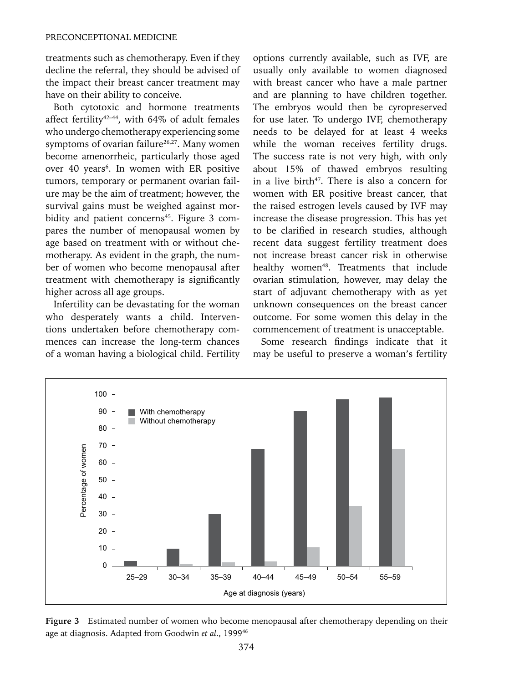treatments such as chemotherapy. Even if they decline the referral, they should be advised of the impact their breast cancer treatment may have on their ability to conceive.

Both cytotoxic and hormone treatments affect fertility<sup>42-44</sup>, with 64% of adult females who undergo chemotherapy experiencing some symptoms of ovarian failure<sup>26,27</sup>. Many women become amenorrheic, particularly those aged over 40 years<sup>6</sup>. In women with ER positive tumors, temporary or permanent ovarian failure may be the aim of treatment; however, the survival gains must be weighed against morbidity and patient concerns<sup>45</sup>. Figure 3 compares the number of menopausal women by age based on treatment with or without chemotherapy. As evident in the graph, the number of women who become menopausal after treatment with chemotherapy is significantly higher across all age groups.

Infertility can be devastating for the woman who desperately wants a child. Interventions undertaken before chemotherapy commences can increase the long-term chances of a woman having a biological child. Fertility options currently available, such as IVF, are usually only available to women diagnosed with breast cancer who have a male partner and are planning to have children together. The embryos would then be cyropreserved for use later. To undergo IVF, chemotherapy needs to be delayed for at least 4 weeks while the woman receives fertility drugs. The success rate is not very high, with only about 15% of thawed embryos resulting in a live birth $47$ . There is also a concern for women with ER positive breast cancer, that the raised estrogen levels caused by IVF may increase the disease progression. This has yet to be clarified in research studies, although recent data suggest fertility treatment does not increase breast cancer risk in otherwise healthy women<sup>48</sup>. Treatments that include ovarian stimulation, however, may delay the start of adjuvant chemotherapy with as yet unknown consequences on the breast cancer outcome. For some women this delay in the commencement of treatment is unacceptable.

Some research findings indicate that it may be useful to preserve a woman's fertility



**Figure 3** Estimated number of women who become menopausal after chemotherapy depending on their age at diagnosis. Adapted from Goodwin *et al*., 199946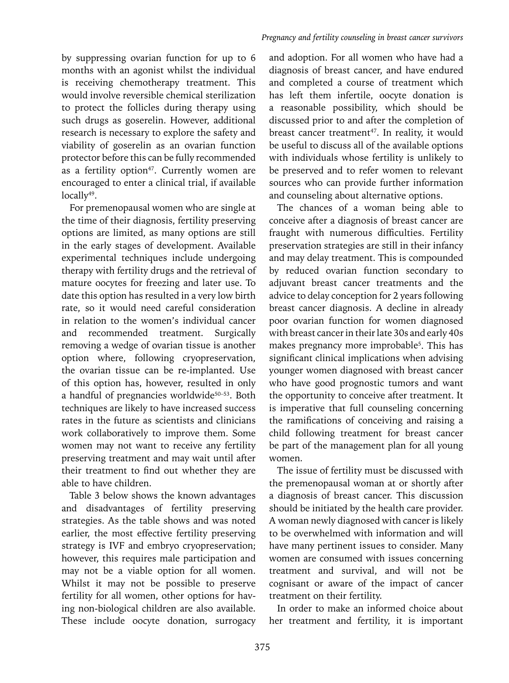by suppressing ovarian function for up to 6 months with an agonist whilst the individual is receiving chemotherapy treatment. This would involve reversible chemical sterilization to protect the follicles during therapy using such drugs as goserelin. However, additional research is necessary to explore the safety and viability of goserelin as an ovarian function protector before this can be fully recommended as a fertility option<sup>47</sup>. Currently women are encouraged to enter a clinical trial, if available locally<sup>49</sup>.

For premenopausal women who are single at the time of their diagnosis, fertility preserving options are limited, as many options are still in the early stages of development. Available experimental techniques include undergoing therapy with fertility drugs and the retrieval of mature oocytes for freezing and later use. To date this option has resulted in a very low birth rate, so it would need careful consideration in relation to the women's individual cancer and recommended treatment. Surgically removing a wedge of ovarian tissue is another option where, following cryopreservation, the ovarian tissue can be re-implanted. Use of this option has, however, resulted in only a handful of pregnancies worldwide<sup>50-53</sup>. Both techniques are likely to have increased success rates in the future as scientists and clinicians work collaboratively to improve them. Some women may not want to receive any fertility preserving treatment and may wait until after their treatment to find out whether they are able to have children.

Table 3 below shows the known advantages and disadvantages of fertility preserving strategies. As the table shows and was noted earlier, the most effective fertility preserving strategy is IVF and embryo cryopreservation; however, this requires male participation and may not be a viable option for all women. Whilst it may not be possible to preserve fertility for all women, other options for having non-biological children are also available. These include oocyte donation, surrogacy and adoption. For all women who have had a diagnosis of breast cancer, and have endured and completed a course of treatment which has left them infertile, oocyte donation is a reasonable possibility, which should be discussed prior to and after the completion of breast cancer treatment<sup>47</sup>. In reality, it would be useful to discuss all of the available options with individuals whose fertility is unlikely to be preserved and to refer women to relevant sources who can provide further information and counseling about alternative options.

The chances of a woman being able to conceive after a diagnosis of breast cancer are fraught with numerous difficulties. Fertility preservation strategies are still in their infancy and may delay treatment. This is compounded by reduced ovarian function secondary to adjuvant breast cancer treatments and the advice to delay conception for 2 years following breast cancer diagnosis. A decline in already poor ovarian function for women diagnosed with breast cancer in their late 30s and early 40s makes pregnancy more improbable<sup>5</sup>. This has significant clinical implications when advising younger women diagnosed with breast cancer who have good prognostic tumors and want the opportunity to conceive after treatment. It is imperative that full counseling concerning the ramifications of conceiving and raising a child following treatment for breast cancer be part of the management plan for all young women.

The issue of fertility must be discussed with the premenopausal woman at or shortly after a diagnosis of breast cancer. This discussion should be initiated by the health care provider. A woman newly diagnosed with cancer is likely to be overwhelmed with information and will have many pertinent issues to consider. Many women are consumed with issues concerning treatment and survival, and will not be cognisant or aware of the impact of cancer treatment on their fertility.

In order to make an informed choice about her treatment and fertility, it is important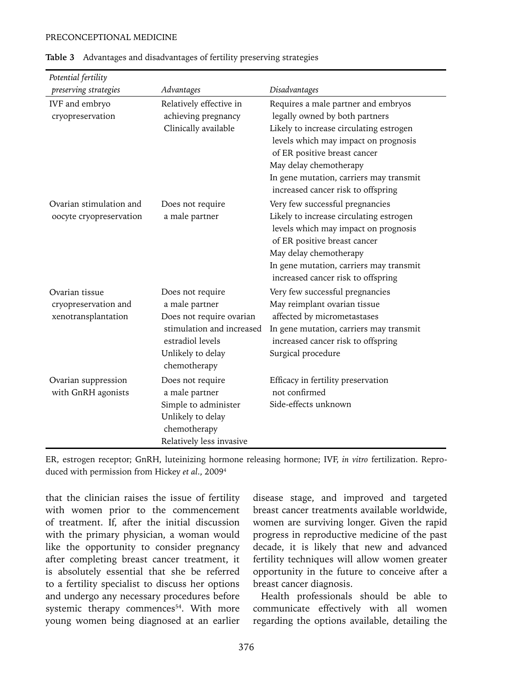#### PRECONCEPTIONAL MEDICINE

| Potential fertility                                           |                                                                                                                                                      |                                                                                                                                                                                                                                                                                                     |
|---------------------------------------------------------------|------------------------------------------------------------------------------------------------------------------------------------------------------|-----------------------------------------------------------------------------------------------------------------------------------------------------------------------------------------------------------------------------------------------------------------------------------------------------|
| preserving strategies                                         | Advantages                                                                                                                                           | Disadvantages                                                                                                                                                                                                                                                                                       |
| IVF and embryo<br>cryopreservation                            | Relatively effective in<br>achieving pregnancy<br>Clinically available                                                                               | Requires a male partner and embryos<br>legally owned by both partners<br>Likely to increase circulating estrogen<br>levels which may impact on prognosis<br>of ER positive breast cancer<br>May delay chemotherapy<br>In gene mutation, carriers may transmit<br>increased cancer risk to offspring |
| Ovarian stimulation and<br>oocyte cryopreservation            | Does not require<br>a male partner                                                                                                                   | Very few successful pregnancies<br>Likely to increase circulating estrogen<br>levels which may impact on prognosis<br>of ER positive breast cancer<br>May delay chemotherapy<br>In gene mutation, carriers may transmit<br>increased cancer risk to offspring                                       |
| Ovarian tissue<br>cryopreservation and<br>xenotransplantation | Does not require<br>a male partner<br>Does not require ovarian<br>stimulation and increased<br>estradiol levels<br>Unlikely to delay<br>chemotherapy | Very few successful pregnancies<br>May reimplant ovarian tissue<br>affected by micrometastases<br>In gene mutation, carriers may transmit<br>increased cancer risk to offspring<br>Surgical procedure                                                                                               |
| Ovarian suppression<br>with GnRH agonists                     | Does not require<br>a male partner<br>Simple to administer<br>Unlikely to delay<br>chemotherapy<br>Relatively less invasive                          | Efficacy in fertility preservation<br>not confirmed<br>Side-effects unknown                                                                                                                                                                                                                         |

|  |  | Table 3 Advantages and disadvantages of fertility preserving strategies |
|--|--|-------------------------------------------------------------------------|
|  |  |                                                                         |

ER, estrogen receptor; GnRH, luteinizing hormone releasing hormone; IVF, *in vitro* fertilization. Reproduced with permission from Hickey *et al*., 20094

that the clinician raises the issue of fertility with women prior to the commencement of treatment. If, after the initial discussion with the primary physician, a woman would like the opportunity to consider pregnancy after completing breast cancer treatment, it is absolutely essential that she be referred to a fertility specialist to discuss her options and undergo any necessary procedures before systemic therapy commences<sup>54</sup>. With more young women being diagnosed at an earlier disease stage, and improved and targeted breast cancer treatments available worldwide, women are surviving longer. Given the rapid progress in reproductive medicine of the past decade, it is likely that new and advanced fertility techniques will allow women greater opportunity in the future to conceive after a breast cancer diagnosis.

Health professionals should be able to communicate effectively with all women regarding the options available, detailing the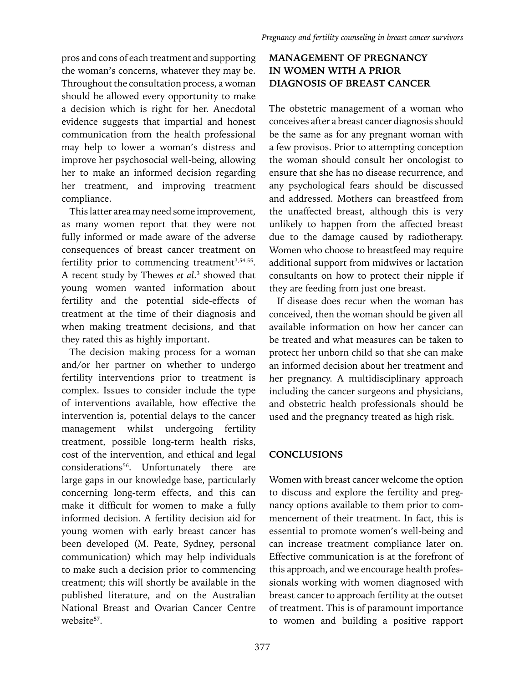pros and cons of each treatment and supporting the woman's concerns, whatever they may be. Throughout the consultation process, a woman should be allowed every opportunity to make a decision which is right for her. Anecdotal evidence suggests that impartial and honest communication from the health professional may help to lower a woman's distress and improve her psychosocial well-being, allowing her to make an informed decision regarding her treatment, and improving treatment compliance.

This latter area may need some improvement, as many women report that they were not fully informed or made aware of the adverse consequences of breast cancer treatment on fertility prior to commencing treatment $3,54,55$ . A recent study by Thewes *et al*. 3 showed that young women wanted information about fertility and the potential side-effects of treatment at the time of their diagnosis and when making treatment decisions, and that they rated this as highly important.

The decision making process for a woman and/or her partner on whether to undergo fertility interventions prior to treatment is complex. Issues to consider include the type of interventions available, how effective the intervention is, potential delays to the cancer management whilst undergoing fertility treatment, possible long-term health risks, cost of the intervention, and ethical and legal considerations<sup>56</sup>. Unfortunately there are large gaps in our knowledge base, particularly concerning long-term effects, and this can make it difficult for women to make a fully informed decision. A fertility decision aid for young women with early breast cancer has been developed (M. Peate, Sydney, personal communication) which may help individuals to make such a decision prior to commencing treatment; this will shortly be available in the published literature, and on the Australian National Breast and Ovarian Cancer Centre website<sup>57</sup>.

# **MANAGEMENT OF PREGNANCY IN WOMEN WITH A PRIOR DIAGNOSIS OF BREAST CANCER**

The obstetric management of a woman who conceives after a breast cancer diagnosis should be the same as for any pregnant woman with a few provisos. Prior to attempting conception the woman should consult her oncologist to ensure that she has no disease recurrence, and any psychological fears should be discussed and addressed. Mothers can breastfeed from the unaffected breast, although this is very unlikely to happen from the affected breast due to the damage caused by radiotherapy. Women who choose to breastfeed may require additional support from midwives or lactation consultants on how to protect their nipple if they are feeding from just one breast.

If disease does recur when the woman has conceived, then the woman should be given all available information on how her cancer can be treated and what measures can be taken to protect her unborn child so that she can make an informed decision about her treatment and her pregnancy. A multidisciplinary approach including the cancer surgeons and physicians, and obstetric health professionals should be used and the pregnancy treated as high risk.

### **CONCLUSIONS**

Women with breast cancer welcome the option to discuss and explore the fertility and pregnancy options available to them prior to commencement of their treatment. In fact, this is essential to promote women's well-being and can increase treatment compliance later on. Effective communication is at the forefront of this approach, and we encourage health professionals working with women diagnosed with breast cancer to approach fertility at the outset of treatment. This is of paramount importance to women and building a positive rapport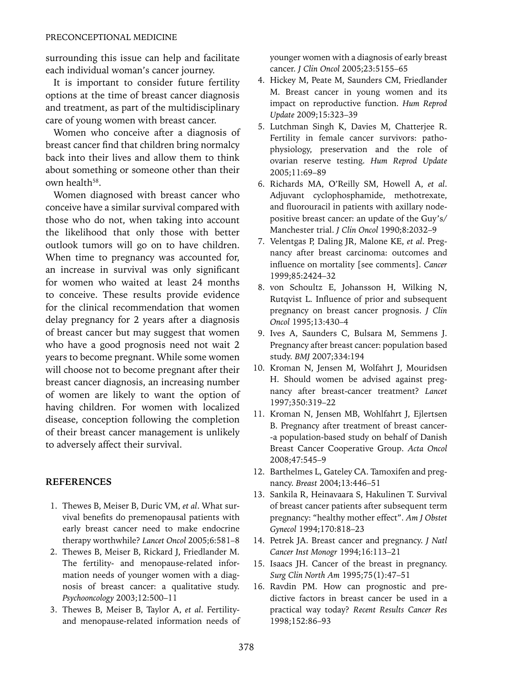surrounding this issue can help and facilitate each individual woman's cancer journey.

It is important to consider future fertility options at the time of breast cancer diagnosis and treatment, as part of the multidisciplinary care of young women with breast cancer.

Women who conceive after a diagnosis of breast cancer find that children bring normalcy back into their lives and allow them to think about something or someone other than their own health<sup>58</sup>

Women diagnosed with breast cancer who conceive have a similar survival compared with those who do not, when taking into account the likelihood that only those with better outlook tumors will go on to have children. When time to pregnancy was accounted for, an increase in survival was only significant for women who waited at least 24 months to conceive. These results provide evidence for the clinical recommendation that women delay pregnancy for 2 years after a diagnosis of breast cancer but may suggest that women who have a good prognosis need not wait 2 years to become pregnant. While some women will choose not to become pregnant after their breast cancer diagnosis, an increasing number of women are likely to want the option of having children. For women with localized disease, conception following the completion of their breast cancer management is unlikely to adversely affect their survival.

#### **REFERENCES**

- 1. Thewes B, Meiser B, Duric VM, *et al*. What survival benefits do premenopausal patients with early breast cancer need to make endocrine therapy worthwhile? *Lancet Oncol* 2005;6:581–8
- 2. Thewes B, Meiser B, Rickard J, Friedlander M. The fertility- and menopause-related information needs of younger women with a diagnosis of breast cancer: a qualitative study. *Psychooncology* 2003;12:500–11
- 3. Thewes B, Meiser B, Taylor A, *et al*. Fertilityand menopause-related information needs of

younger women with a diagnosis of early breast cancer. *J Clin Oncol* 2005;23:5155–65

- 4. Hickey M, Peate M, Saunders CM, Friedlander M. Breast cancer in young women and its impact on reproductive function. *Hum Reprod Update* 2009;15:323–39
- 5. Lutchman Singh K, Davies M, Chatterjee R. Fertility in female cancer survivors: pathophysiology, preservation and the role of ovarian reserve testing. *Hum Reprod Update* 2005;11:69–89
- 6. Richards MA, O'Reilly SM, Howell A, *et al*. Adjuvant cyclophosphamide, methotrexate, and fluorouracil in patients with axillary nodepositive breast cancer: an update of the Guy's/ Manchester trial. *J Clin Oncol* 1990;8:2032–9
- 7. Velentgas P, Daling JR, Malone KE, *et al*. Pregnancy after breast carcinoma: outcomes and influence on mortality [see comments]. *Cancer* 1999;85:2424–32
- 8. von Schoultz E, Johansson H, Wilking N, Rutqvist L. Influence of prior and subsequent pregnancy on breast cancer prognosis. *J Clin Oncol* 1995;13:430–4
- 9. Ives A, Saunders C, Bulsara M, Semmens J. Pregnancy after breast cancer: population based study. *BMJ* 2007;334:194
- 10. Kroman N, Jensen M, Wolfahrt J, Mouridsen H. Should women be advised against pregnancy after breast-cancer treatment? *Lancet* 1997;350:319–22
- 11. Kroman N, Jensen MB, Wohlfahrt J, Ejlertsen B. Pregnancy after treatment of breast cancer- -a population-based study on behalf of Danish Breast Cancer Cooperative Group. *Acta Oncol* 2008;47:545–9
- 12. Barthelmes L, Gateley CA. Tamoxifen and pregnancy. *Breast* 2004;13:446–51
- 13. Sankila R, Heinavaara S, Hakulinen T. Survival of breast cancer patients after subsequent term pregnancy: "healthy mother effect". *Am J Obstet Gynecol* 1994;170:818–23
- 14. Petrek JA. Breast cancer and pregnancy. *J Natl Cancer Inst Monogr* 1994;16:113–21
- 15. Isaacs JH. Cancer of the breast in pregnancy. *Surg Clin North Am* 1995;75(1):47–51
- 16. Ravdin PM. How can prognostic and predictive factors in breast cancer be used in a practical way today? *Recent Results Cancer Res* 1998;152:86–93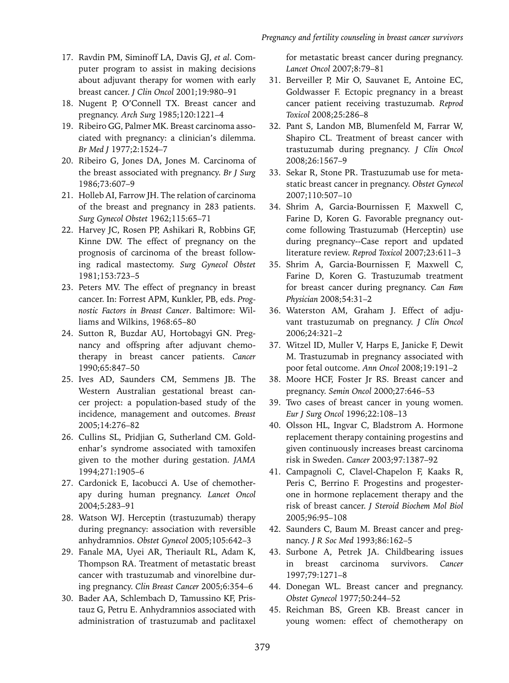- 17. Ravdin PM, Siminoff LA, Davis GJ, *et al*. Computer program to assist in making decisions about adjuvant therapy for women with early breast cancer. *J Clin Oncol* 2001;19:980–91
- 18. Nugent P, O'Connell TX. Breast cancer and pregnancy. *Arch Surg* 1985;120:1221–4
- 19. Ribeiro GG, Palmer MK. Breast carcinoma associated with pregnancy: a clinician's dilemma. *Br Med J* 1977;2:1524–7
- 20. Ribeiro G, Jones DA, Jones M. Carcinoma of the breast associated with pregnancy. *Br J Surg* 1986;73:607–9
- 21. Holleb AI, Farrow JH. The relation of carcinoma of the breast and pregnancy in 283 patients. *Surg Gynecol Obstet* 1962;115:65–71
- 22. Harvey JC, Rosen PP, Ashikari R, Robbins GF, Kinne DW. The effect of pregnancy on the prognosis of carcinoma of the breast following radical mastectomy. *Surg Gynecol Obstet* 1981;153:723–5
- 23. Peters MV. The effect of pregnancy in breast cancer. In: Forrest APM, Kunkler, PB, eds. *Prognostic Factors in Breast Cancer*. Baltimore: Williams and Wilkins, 1968:65–80
- 24. Sutton R, Buzdar AU, Hortobagyi GN. Pregnancy and offspring after adjuvant chemotherapy in breast cancer patients. *Cancer* 1990;65:847–50
- 25. Ives AD, Saunders CM, Semmens JB. The Western Australian gestational breast cancer project: a population-based study of the incidence, management and outcomes. *Breast* 2005;14:276–82
- 26. Cullins SL, Pridjian G, Sutherland CM. Goldenhar's syndrome associated with tamoxifen given to the mother during gestation. *JAMA* 1994;271:1905–6
- 27. Cardonick E, Iacobucci A. Use of chemotherapy during human pregnancy. *Lancet Oncol* 2004;5:283–91
- 28. Watson WJ. Herceptin (trastuzumab) therapy during pregnancy: association with reversible anhydramnios. *Obstet Gynecol* 2005;105:642–3
- 29. Fanale MA, Uyei AR, Theriault RL, Adam K, Thompson RA. Treatment of metastatic breast cancer with trastuzumab and vinorelbine during pregnancy. *Clin Breast Cancer* 2005;6:354–6
- 30. Bader AA, Schlembach D, Tamussino KF, Pristauz G, Petru E. Anhydramnios associated with administration of trastuzumab and paclitaxel

for metastatic breast cancer during pregnancy. *Lancet Oncol* 2007;8:79–81

- 31. Berveiller P, Mir O, Sauvanet E, Antoine EC, Goldwasser F. Ectopic pregnancy in a breast cancer patient receiving trastuzumab. *Reprod Toxicol* 2008;25:286–8
- 32. Pant S, Landon MB, Blumenfeld M, Farrar W, Shapiro CL. Treatment of breast cancer with trastuzumab during pregnancy. *J Clin Oncol* 2008;26:1567–9
- 33. Sekar R, Stone PR. Trastuzumab use for metastatic breast cancer in pregnancy. *Obstet Gynecol* 2007;110:507–10
- 34. Shrim A, Garcia-Bournissen F, Maxwell C, Farine D, Koren G. Favorable pregnancy outcome following Trastuzumab (Herceptin) use during pregnancy--Case report and updated literature review. *Reprod Toxicol* 2007;23:611–3
- 35. Shrim A, Garcia-Bournissen F, Maxwell C, Farine D, Koren G. Trastuzumab treatment for breast cancer during pregnancy. *Can Fam Physician* 2008;54:31–2
- 36. Waterston AM, Graham J. Effect of adjuvant trastuzumab on pregnancy. *J Clin Oncol* 2006;24:321–2
- 37. Witzel ID, Muller V, Harps E, Janicke F, Dewit M. Trastuzumab in pregnancy associated with poor fetal outcome. *Ann Oncol* 2008;19:191–2
- 38. Moore HCF, Foster Jr RS. Breast cancer and pregnancy. *Semin Oncol* 2000;27:646–53
- 39. Two cases of breast cancer in young women. *Eur J Surg Oncol* 1996;22:108–13
- 40. Olsson HL, Ingvar C, Bladstrom A. Hormone replacement therapy containing progestins and given continuously increases breast carcinoma risk in Sweden. *Cancer* 2003;97:1387–92
- 41. Campagnoli C, Clavel-Chapelon F, Kaaks R, Peris C, Berrino F. Progestins and progesterone in hormone replacement therapy and the risk of breast cancer. *J Steroid Biochem Mol Biol* 2005;96:95–108
- 42. Saunders C, Baum M. Breast cancer and pregnancy. *J R Soc Med* 1993;86:162–5
- 43. Surbone A, Petrek JA. Childbearing issues in breast carcinoma survivors. *Cancer* 1997;79:1271–8
- 44. Donegan WL. Breast cancer and pregnancy. *Obstet Gynecol* 1977;50:244–52
- 45. Reichman BS, Green KB. Breast cancer in young women: effect of chemotherapy on